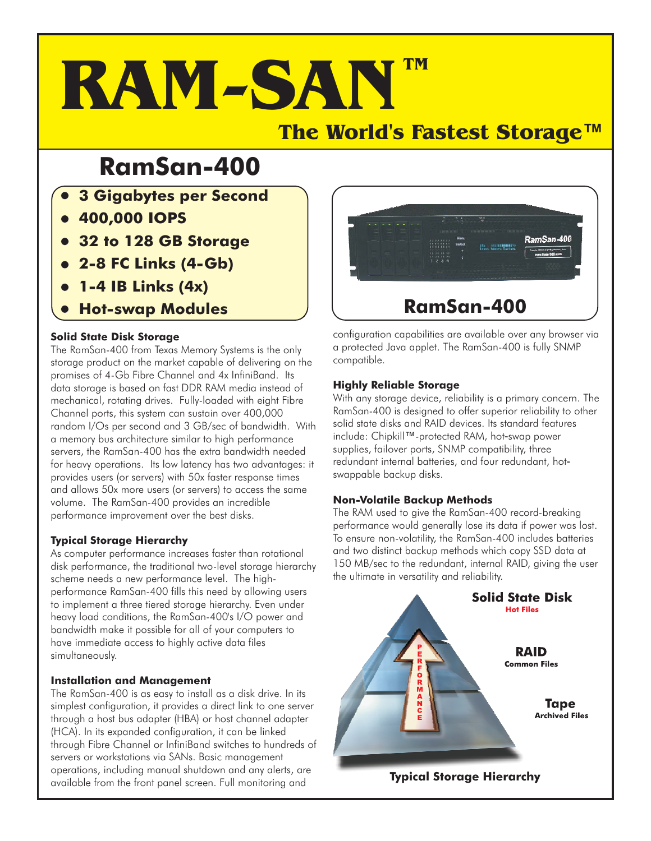# **RAM-SAN The World's Fastest Storage***™* **TM**

# **RamSan-400**

- **3 Gigabytes per Second**
- **400,000 IOPS**
- **32 to 128 GB Storage**
- **2-8 FC Links (4-Gb)**
- **1-4 IB Links (4x)**
- **Hot-swap Modules**

# **Solid State Disk Storage**

The RamSan-400 from Texas Memory Systems is the only storage product on the market capable of delivering on the promises of 4-Gb Fibre Channel and 4x InfiniBand. Its data storage is based on fast DDR RAM media instead of mechanical, rotating drives. Fully-loaded with eight Fibre Channel ports, this system can sustain over 400,000 random I/Os per second and 3 GB/sec of bandwidth. With a memory bus architecture similar to high performance servers, the RamSan-400 has the extra bandwidth needed for heavy operations. Its low latency has two advantages: it provides users (or servers) with 50x faster response times and allows 50x more users (or servers) to access the same volume. The RamSan-400 provides an incredible performance improvement over the best disks.

# **Typical Storage Hierarchy**

As computer performance increases faster than rotational disk performance, the traditional two-level storage hierarchy scheme needs a new performance level. The highperformance RamSan-400 fills this need by allowing users to implement a three tiered storage hierarchy. Even under heavy load conditions, the RamSan-400's I/O power and bandwidth make it possible for all of your computers to have immediate access to highly active data files simultaneously.

# **Installation and Management**

The RamSan-400 is as easy to install as a disk drive. In its simplest configuration, it provides a direct link to one server through a host bus adapter (HBA) or host channel adapter (HCA). In its expanded configuration, it can be linked through Fibre Channel or InfiniBand switches to hundreds of servers or workstations via SANs. Basic management operations, including manual shutdown and any alerts, are available from the front panel screen. Full monitoring and



configuration capabilities are available over any browser via a protected Java applet. The RamSan-400 is fully SNMP compatible.

### **Highly Reliable Storage**

With any storage device, reliability is a primary concern. The RamSan-400 is designed to offer superior reliability to other solid state disks and RAID devices. Its standard features sond sidie disks and MID devices. Its sidindard feart<br>include: Chipkill™-protected RAM, hot-swap power supplies, failover ports, SNMP compatibility, three redundant internal batteries, and four redundant, hot swappable backup disks.

# **Non-Volatile Backup Methods**

The RAM used to give the RamSan-400 record-breaking performance would generally lose its data if power was lost. To ensure non-volatility, the RamSan-400 includes batteries and two distinct backup methods which copy SSD data at 150 MB/sec to the redundant, internal RAID, giving the user the ultimate in versatility and reliability.